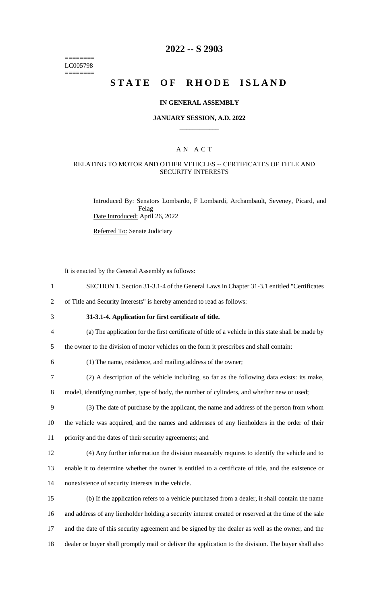======== LC005798 ========

### **2022 -- S 2903**

# **STATE OF RHODE ISLAND**

#### **IN GENERAL ASSEMBLY**

#### **JANUARY SESSION, A.D. 2022 \_\_\_\_\_\_\_\_\_\_\_\_**

### A N A C T

### RELATING TO MOTOR AND OTHER VEHICLES -- CERTIFICATES OF TITLE AND SECURITY INTERESTS

Introduced By: Senators Lombardo, F Lombardi, Archambault, Seveney, Picard, and Felag Date Introduced: April 26, 2022

Referred To: Senate Judiciary

It is enacted by the General Assembly as follows:

1 SECTION 1. Section 31-3.1-4 of the General Laws in Chapter 31-3.1 entitled "Certificates

2 of Title and Security Interests" is hereby amended to read as follows:

3 **31-3.1-4. Application for first certificate of title.**

4 (a) The application for the first certificate of title of a vehicle in this state shall be made by

5 the owner to the division of motor vehicles on the form it prescribes and shall contain:

6 (1) The name, residence, and mailing address of the owner;

7 (2) A description of the vehicle including, so far as the following data exists: its make,

8 model, identifying number, type of body, the number of cylinders, and whether new or used;

9 (3) The date of purchase by the applicant, the name and address of the person from whom 10 the vehicle was acquired, and the names and addresses of any lienholders in the order of their 11 priority and the dates of their security agreements; and

12 (4) Any further information the division reasonably requires to identify the vehicle and to

13 enable it to determine whether the owner is entitled to a certificate of title, and the existence or 14 nonexistence of security interests in the vehicle.

 (b) If the application refers to a vehicle purchased from a dealer, it shall contain the name and address of any lienholder holding a security interest created or reserved at the time of the sale and the date of this security agreement and be signed by the dealer as well as the owner, and the dealer or buyer shall promptly mail or deliver the application to the division. The buyer shall also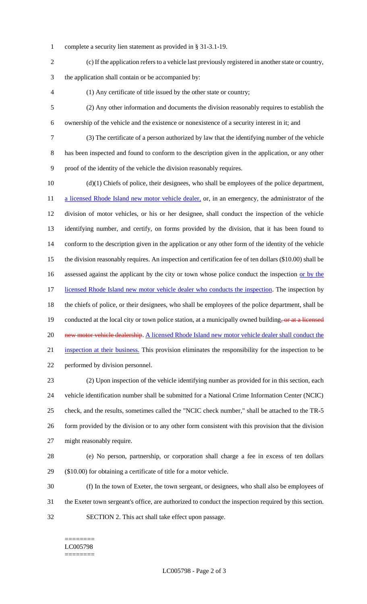- complete a security lien statement as provided in § 31-3.1-19.
- (c) If the application refers to a vehicle last previously registered in another state or country,

the application shall contain or be accompanied by:

- (1) Any certificate of title issued by the other state or country;
- (2) Any other information and documents the division reasonably requires to establish the ownership of the vehicle and the existence or nonexistence of a security interest in it; and
- (3) The certificate of a person authorized by law that the identifying number of the vehicle

 has been inspected and found to conform to the description given in the application, or any other proof of the identity of the vehicle the division reasonably requires.

 (d)(1) Chiefs of police, their designees, who shall be employees of the police department, 11 a licensed Rhode Island new motor vehicle dealer, or, in an emergency, the administrator of the division of motor vehicles, or his or her designee, shall conduct the inspection of the vehicle identifying number, and certify, on forms provided by the division, that it has been found to conform to the description given in the application or any other form of the identity of the vehicle the division reasonably requires. An inspection and certification fee of ten dollars (\$10.00) shall be 16 assessed against the applicant by the city or town whose police conduct the inspection or by the 17 licensed Rhode Island new motor vehicle dealer who conducts the inspection. The inspection by the chiefs of police, or their designees, who shall be employees of the police department, shall be 19 conducted at the local city or town police station, at a municipally owned building, or at a licensed 20 new motor vehicle dealership. A licensed Rhode Island new motor vehicle dealer shall conduct the inspection at their business. This provision eliminates the responsibility for the inspection to be performed by division personnel. (2) Upon inspection of the vehicle identifying number as provided for in this section, each

 vehicle identification number shall be submitted for a National Crime Information Center (NCIC) check, and the results, sometimes called the "NCIC check number," shall be attached to the TR-5 form provided by the division or to any other form consistent with this provision that the division might reasonably require.

- (e) No person, partnership, or corporation shall charge a fee in excess of ten dollars (\$10.00) for obtaining a certificate of title for a motor vehicle.
- (f) In the town of Exeter, the town sergeant, or designees, who shall also be employees of the Exeter town sergeant's office, are authorized to conduct the inspection required by this section. SECTION 2. This act shall take effect upon passage.
	- ======== LC005798 ========